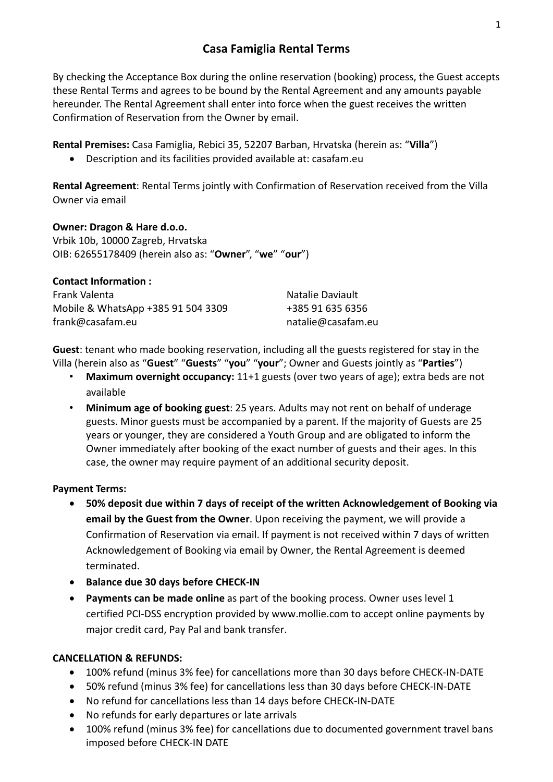By checking the Acceptance Box during the online reservation (booking) process, the Guest accepts these Rental Terms and agrees to be bound by the Rental Agreement and any amounts payable hereunder. The Rental Agreement shall enter into force when the guest receives the written Confirmation of Reservation from the Owner by email.

**Rental Premises:** Casa Famiglia, Rebici 35, 52207 Barban, Hrvatska (herein as: "**Villa**")

Description and its facilities provided available at: casafam.eu

**Rental Agreement**: Rental Terms jointly with Confirmation of Reservation received from the Villa Owner via email

**Owner: Dragon & Hare d.o.o.**  Vrbik 10b, 10000 Zagreb, Hrvatska OIB: 62655178409 (herein also as: "**Owner**", "**we**" "**our**")

**Contact Information :** 

Frank Valenta Natalie Daviault Mobile & WhatsApp +385 91 504 3309 +385 91 635 6356 frank@casafam.eu  natalie@casafam.eu

**Guest**: tenant who made booking reservation, including all the guests registered for stay in the Villa (herein also as "**Guest**" "**Guests**" "**you**" "**your**"; Owner and Guests jointly as "**Parties**")

- **Maximum overnight occupancy:** 11+1 guests (over two years of age); extra beds are not available
- **Minimum age of booking guest**: 25 years. Adults may not rent on behalf of underage guests. Minor guests must be accompanied by a parent. If the majority of Guests are 25 years or younger, they are considered a Youth Group and are obligated to inform the Owner immediately after booking of the exact number of guests and their ages. In this case, the owner may require payment of an additional security deposit.

## **Payment Terms:**

- **50% deposit due within 7 days of receipt of the written Acknowledgement of Booking via email by the Guest from the Owner**. Upon receiving the payment, we will provide a Confirmation of Reservation via email. If payment is not received within 7 days of written Acknowledgement of Booking via email by Owner, the Rental Agreement is deemed terminated.
- **•** Balance due 30 days before CHECK-IN
- **Payments can be made online** as part of the booking process. Owner uses level 1 certified PCI‐DSS encryption provided by www.mollie.com to accept online payments by major credit card, Pay Pal and bank transfer.

# **CANCELLATION & REFUNDS:**

- 100% refund (minus 3% fee) for cancellations more than 30 days before CHECK‐IN‐DATE
- 50% refund (minus 3% fee) for cancellations less than 30 days before CHECK‐IN‐DATE
- No refund for cancellations less than 14 days before CHECK‐IN‐DATE
- No refunds for early departures or late arrivals
- 100% refund (minus 3% fee) for cancellations due to documented government travel bans imposed before CHECK‐IN DATE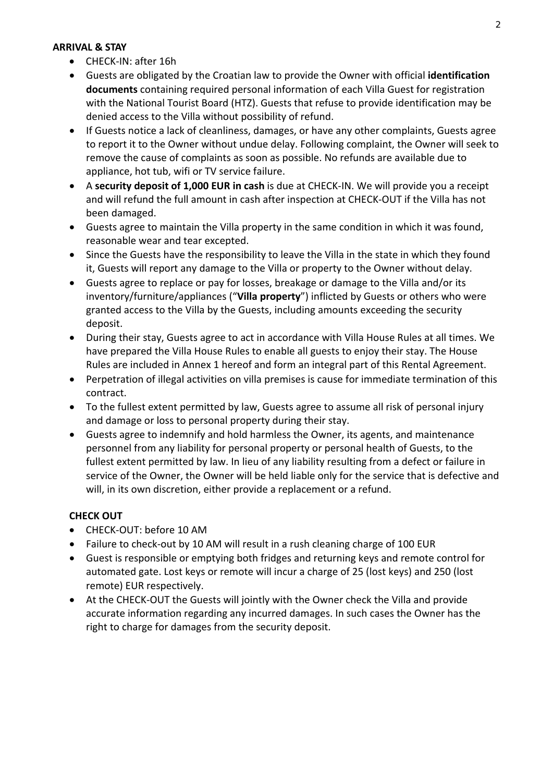#### **ARRIVAL & STAY**

- CHECK-IN: after 16h
- Guests are obligated by the Croatian law to provide the Owner with official **identification documents** containing required personal information of each Villa Guest for registration with the National Tourist Board (HTZ). Guests that refuse to provide identification may be denied access to the Villa without possibility of refund.
- If Guests notice a lack of cleanliness, damages, or have any other complaints, Guests agree to report it to the Owner without undue delay. Following complaint, the Owner will seek to remove the cause of complaints as soon as possible. No refunds are available due to appliance, hot tub, wifi or TV service failure.
- A **security deposit of 1,000 EUR in cash** is due at CHECK‐IN. We will provide you a receipt and will refund the full amount in cash after inspection at CHECK‐OUT if the Villa has not been damaged.
- Guests agree to maintain the Villa property in the same condition in which it was found, reasonable wear and tear excepted.
- Since the Guests have the responsibility to leave the Villa in the state in which they found it, Guests will report any damage to the Villa or property to the Owner without delay.
- Guests agree to replace or pay for losses, breakage or damage to the Villa and/or its inventory/furniture/appliances ("**Villa property**") inflicted by Guests or others who were granted access to the Villa by the Guests, including amounts exceeding the security deposit.
- During their stay, Guests agree to act in accordance with Villa House Rules at all times. We have prepared the Villa House Rules to enable all guests to enjoy their stay. The House Rules are included in Annex 1 hereof and form an integral part of this Rental Agreement.
- Perpetration of illegal activities on villa premises is cause for immediate termination of this contract.
- To the fullest extent permitted by law, Guests agree to assume all risk of personal injury and damage or loss to personal property during their stay.
- Guests agree to indemnify and hold harmless the Owner, its agents, and maintenance personnel from any liability for personal property or personal health of Guests, to the fullest extent permitted by law. In lieu of any liability resulting from a defect or failure in service of the Owner, the Owner will be held liable only for the service that is defective and will, in its own discretion, either provide a replacement or a refund.

## **CHECK OUT**

- CHECK-OUT: before 10 AM
- Failure to check‐out by 10 AM will result in a rush cleaning charge of 100 EUR
- Guest is responsible or emptying both fridges and returning keys and remote control for automated gate. Lost keys or remote will incur a charge of 25 (lost keys) and 250 (lost remote) EUR respectively.
- At the CHECK‐OUT the Guests will jointly with the Owner check the Villa and provide accurate information regarding any incurred damages. In such cases the Owner has the right to charge for damages from the security deposit.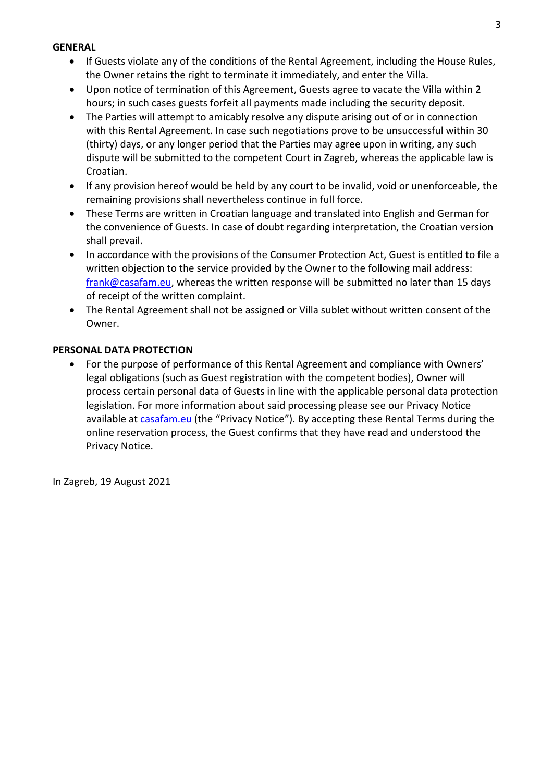#### **GENERAL**

- If Guests violate any of the conditions of the Rental Agreement, including the House Rules, the Owner retains the right to terminate it immediately, and enter the Villa.
- Upon notice of termination of this Agreement, Guests agree to vacate the Villa within 2 hours; in such cases guests forfeit all payments made including the security deposit.
- The Parties will attempt to amicably resolve any dispute arising out of or in connection with this Rental Agreement. In case such negotiations prove to be unsuccessful within 30 (thirty) days, or any longer period that the Parties may agree upon in writing, any such dispute will be submitted to the competent Court in Zagreb, whereas the applicable law is Croatian.
- If any provision hereof would be held by any court to be invalid, void or unenforceable, the remaining provisions shall nevertheless continue in full force.
- These Terms are written in Croatian language and translated into English and German for the convenience of Guests. In case of doubt regarding interpretation, the Croatian version shall prevail.
- In accordance with the provisions of the Consumer Protection Act, Guest is entitled to file a written objection to the service provided by the Owner to the following mail address: frank@casafam.eu, whereas the written response will be submitted no later than 15 days of receipt of the written complaint.
- The Rental Agreement shall not be assigned or Villa sublet without written consent of the Owner.

### **PERSONAL DATA PROTECTION**

 For the purpose of performance of this Rental Agreement and compliance with Owners' legal obligations (such as Guest registration with the competent bodies), Owner will process certain personal data of Guests in line with the applicable personal data protection legislation. For more information about said processing please see our Privacy Notice available at casafam.eu (the "Privacy Notice"). By accepting these Rental Terms during the online reservation process, the Guest confirms that they have read and understood the Privacy Notice.

In Zagreb, 19 August 2021